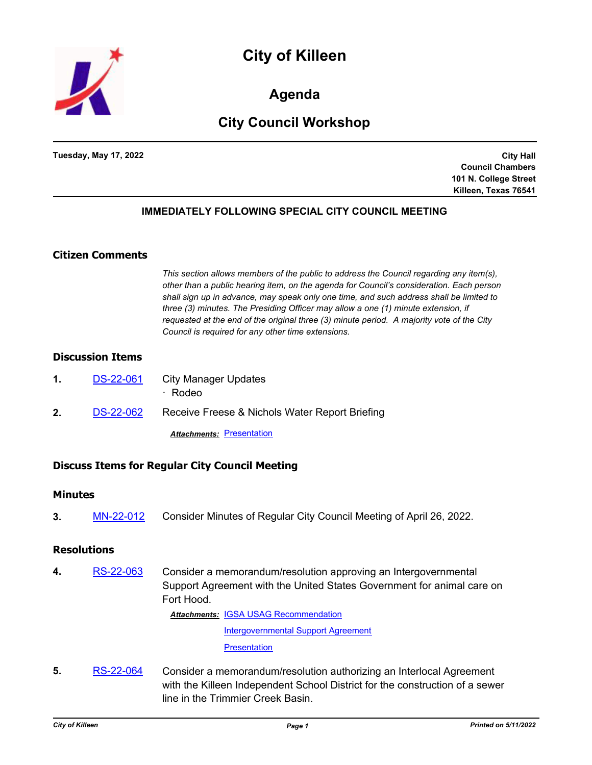



**Agenda**

# **City Council Workshop**

**Tuesday, May 17, 2022**

**City Hall Council Chambers 101 N. College Street Killeen, Texas 76541**

### **IMMEDIATELY FOLLOWING SPECIAL CITY COUNCIL MEETING**

# **Citizen Comments**

*This section allows members of the public to address the Council regarding any item(s), other than a public hearing item, on the agenda for Council's consideration. Each person shall sign up in advance, may speak only one time, and such address shall be limited to three (3) minutes. The Presiding Officer may allow a one (1) minute extension, if requested at the end of the original three (3) minute period. A majority vote of the City Council is required for any other time extensions.*

# **Discussion Items**

| $\mathbf 1$ . | <b>DS-22-061</b> | City Manager Updates<br>$\cdot$ Rodeo          |
|---------------|------------------|------------------------------------------------|
| $2_{-}$       | DS-22-062        | Receive Freese & Nichols Water Report Briefing |
|               |                  | <b>Attachments: Presentation</b>               |

### **Discuss Items for Regular City Council Meeting**

### **Minutes**

**3.** [MN-22-012](http://killeen.legistar.com/gateway.aspx?m=l&id=/matter.aspx?key=6118) Consider Minutes of Regular City Council Meeting of April 26, 2022.

### **Resolutions**

**4.** [RS-22-063](http://killeen.legistar.com/gateway.aspx?m=l&id=/matter.aspx?key=6087) Consider a memorandum/resolution approving an Intergovernmental Support Agreement with the United States Government for animal care on Fort Hood.

**Attachments: [IGSA USAG Recommendation](http://killeen.legistar.com/gateway.aspx?M=F&ID=841c0f5b-6ab7-47a4-ba1d-9c354ceb0f76.pdf)** 

[Intergovernmental Support Agreement](http://killeen.legistar.com/gateway.aspx?M=F&ID=18331492-62d6-40bb-950b-0a0901acc349.pdf)

[Presentation](http://killeen.legistar.com/gateway.aspx?M=F&ID=5ac063ab-97ab-42b3-9ea1-2fc3047458cb.pdf)

**5.** [RS-22-064](http://killeen.legistar.com/gateway.aspx?m=l&id=/matter.aspx?key=6125) Consider a memorandum/resolution authorizing an Interlocal Agreement with the Killeen Independent School District for the construction of a sewer line in the Trimmier Creek Basin.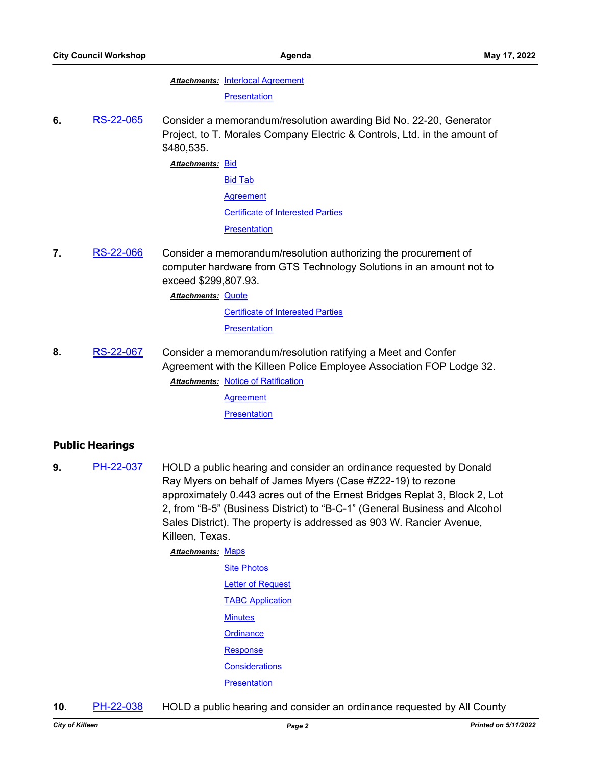#### **Attachments: [Interlocal Agreement](http://killeen.legistar.com/gateway.aspx?M=F&ID=c70b9ae7-f6dd-4373-ad80-be3f6609405f.pdf)**

**[Presentation](http://killeen.legistar.com/gateway.aspx?M=F&ID=e76587dc-8053-4f96-b146-dac21065d823.pdf)** 

**6.** [RS-22-065](http://killeen.legistar.com/gateway.aspx?m=l&id=/matter.aspx?key=6128) Consider a memorandum/resolution awarding Bid No. 22-20, Generator Project, to T. Morales Company Electric & Controls, Ltd. in the amount of \$480,535.

<u>Attachments: <mark>[Bid](http://killeen.legistar.com/gateway.aspx?M=F&ID=f5444ca7-684f-42aa-a147-918ac06ee210.pdf)</mark></u>

[Bid Tab](http://killeen.legistar.com/gateway.aspx?M=F&ID=999778c9-64ee-4e73-9487-c7bcfccee4ad.pdf) [Agreement](http://killeen.legistar.com/gateway.aspx?M=F&ID=88bde5dd-6720-43da-aec0-04e0951799e8.pdf) [Certificate of Interested Parties](http://killeen.legistar.com/gateway.aspx?M=F&ID=e7871576-f942-4741-8f78-4d69ace69116.pdf) **[Presentation](http://killeen.legistar.com/gateway.aspx?M=F&ID=4c74b9b5-97fb-4b90-b3ac-49a142b5b510.pdf)** 

**7.** [RS-22-066](http://killeen.legistar.com/gateway.aspx?m=l&id=/matter.aspx?key=6129) Consider a memorandum/resolution authorizing the procurement of computer hardware from GTS Technology Solutions in an amount not to exceed \$299,807.93.

**Attachments: [Quote](http://killeen.legistar.com/gateway.aspx?M=F&ID=0241b40e-89e3-4677-8602-8607b80b5711.pdf)** 

[Certificate of Interested Parties](http://killeen.legistar.com/gateway.aspx?M=F&ID=eb79b9e9-2e84-43e5-8b25-6bf285121c24.pdf)

**[Presentation](http://killeen.legistar.com/gateway.aspx?M=F&ID=56010faf-bef7-4d79-a8db-b117bb73a429.pdf)** 

**8.** [RS-22-067](http://killeen.legistar.com/gateway.aspx?m=l&id=/matter.aspx?key=6144) Consider a memorandum/resolution ratifying a Meet and Confer Agreement with the Killeen Police Employee Association FOP Lodge 32. **Attachments: [Notice of Ratification](http://killeen.legistar.com/gateway.aspx?M=F&ID=90437c53-3743-4c20-bf98-9fc45ad1daa0.pdf)** 

[Agreement](http://killeen.legistar.com/gateway.aspx?M=F&ID=a0a4110b-b5b3-4347-a033-99cb99edf101.pdf)

**[Presentation](http://killeen.legistar.com/gateway.aspx?M=F&ID=99f6d5dc-cd1b-4ece-8a7c-b399eb00cb29.pdf)** 

### **Public Hearings**

**9.** [PH-22-037](http://killeen.legistar.com/gateway.aspx?m=l&id=/matter.aspx?key=6054) HOLD a public hearing and consider an ordinance requested by Donald Ray Myers on behalf of James Myers (Case #Z22-19) to rezone approximately 0.443 acres out of the Ernest Bridges Replat 3, Block 2, Lot 2, from "B-5" (Business District) to "B-C-1" (General Business and Alcohol Sales District). The property is addressed as 903 W. Rancier Avenue, Killeen, Texas.

**Attachments: [Maps](http://killeen.legistar.com/gateway.aspx?M=F&ID=14d4ca49-ce78-477f-ac24-a933ad08cbd6.pdf)** 

- [Site Photos](http://killeen.legistar.com/gateway.aspx?M=F&ID=1c07dba9-fd64-4f26-8503-aad421f11e66.pdf) [Letter of Request](http://killeen.legistar.com/gateway.aspx?M=F&ID=22e8564b-693e-40bf-b6b7-128b1a8986a4.pdf) **[TABC Application](http://killeen.legistar.com/gateway.aspx?M=F&ID=2fe0fdaf-7f0d-47d8-8bbb-6462a7415a73.pdf) [Minutes](http://killeen.legistar.com/gateway.aspx?M=F&ID=a547ad42-5f9d-4506-9efe-bc4ab0ddaee8.pdf) [Ordinance](http://killeen.legistar.com/gateway.aspx?M=F&ID=4cbea3ae-2bfa-4308-8f25-fdda98df6bb0.pdf)** [Response](http://killeen.legistar.com/gateway.aspx?M=F&ID=256f200a-213a-424e-8f9f-45b93ac59b61.pdf) **[Considerations](http://killeen.legistar.com/gateway.aspx?M=F&ID=46864490-40b1-4b34-bdef-09c22415294a.pdf) [Presentation](http://killeen.legistar.com/gateway.aspx?M=F&ID=3656d9bb-9ead-45e2-a2dc-9e71774966eb.pdf)**
- **10.** [PH-22-038](http://killeen.legistar.com/gateway.aspx?m=l&id=/matter.aspx?key=6071) HOLD a public hearing and consider an ordinance requested by All County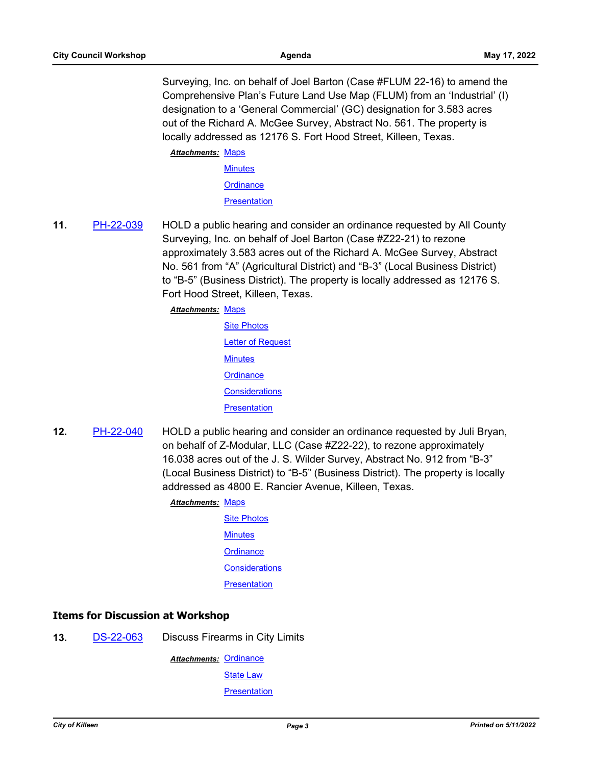Surveying, Inc. on behalf of Joel Barton (Case #FLUM 22-16) to amend the Comprehensive Plan's Future Land Use Map (FLUM) from an 'Industrial' (I) designation to a 'General Commercial' (GC) designation for 3.583 acres out of the Richard A. McGee Survey, Abstract No. 561. The property is locally addressed as 12176 S. Fort Hood Street, Killeen, Texas.

Attachments: [Maps](http://killeen.legistar.com/gateway.aspx?M=F&ID=f4462af1-dc99-4607-a3e7-919389c9a626.pdf)

**[Minutes](http://killeen.legistar.com/gateway.aspx?M=F&ID=a8f53e61-c056-4c2b-a6ae-e3f2723d4b1f.pdf) [Ordinance](http://killeen.legistar.com/gateway.aspx?M=F&ID=ada40469-5cc2-49a2-8a01-3280e9c8fad8.pdf)** 

**[Presentation](http://killeen.legistar.com/gateway.aspx?M=F&ID=3407ba67-3392-461f-a243-115ccbec5bdb.pdf)** 

**11.** [PH-22-039](http://killeen.legistar.com/gateway.aspx?m=l&id=/matter.aspx?key=6072) HOLD a public hearing and consider an ordinance requested by All County Surveying, Inc. on behalf of Joel Barton (Case #Z22-21) to rezone approximately 3.583 acres out of the Richard A. McGee Survey, Abstract No. 561 from "A" (Agricultural District) and "B-3" (Local Business District) to "B-5" (Business District). The property is locally addressed as 12176 S. Fort Hood Street, Killeen, Texas.

Attachments: [Maps](http://killeen.legistar.com/gateway.aspx?M=F&ID=9aef18ed-3673-4bdc-b613-e8f46c162913.pdf)

- [Site Photos](http://killeen.legistar.com/gateway.aspx?M=F&ID=6a43515f-a915-45db-a1e2-89f2d362d321.pdf) [Letter of Request](http://killeen.legistar.com/gateway.aspx?M=F&ID=e4948033-5ec2-4e4b-ae26-9f59e5672492.pdf) **[Minutes](http://killeen.legistar.com/gateway.aspx?M=F&ID=2cbb7e44-bdac-4956-ac89-157af285dd7c.pdf) [Ordinance](http://killeen.legistar.com/gateway.aspx?M=F&ID=47bcfe0c-6228-45c6-aa17-a54c3eed01b2.pdf) [Considerations](http://killeen.legistar.com/gateway.aspx?M=F&ID=72b0bff8-ffc5-4185-864e-a6edf6d31eb0.pdf) [Presentation](http://killeen.legistar.com/gateway.aspx?M=F&ID=3496e4f3-c8db-4cdf-8455-7fd26e4f9de3.pdf)**
- **12.** [PH-22-040](http://killeen.legistar.com/gateway.aspx?m=l&id=/matter.aspx?key=6073) HOLD a public hearing and consider an ordinance requested by Juli Bryan, on behalf of Z-Modular, LLC (Case #Z22-22), to rezone approximately 16.038 acres out of the J. S. Wilder Survey, Abstract No. 912 from "B-3" (Local Business District) to "B-5" (Business District). The property is locally addressed as 4800 E. Rancier Avenue, Killeen, Texas.

### **Attachments: [Maps](http://killeen.legistar.com/gateway.aspx?M=F&ID=fdb82ea0-7ed6-46f7-b568-c4ae1a758458.pdf)**

[Site Photos](http://killeen.legistar.com/gateway.aspx?M=F&ID=2a079f7d-9a69-4d11-a851-79a36eb3e390.pdf) **[Minutes](http://killeen.legistar.com/gateway.aspx?M=F&ID=448b3dc2-aaf9-4fd7-ab90-beea77bb3e7f.pdf) [Ordinance](http://killeen.legistar.com/gateway.aspx?M=F&ID=bc6aeff9-5903-4833-8e20-43dcb4187299.pdf) [Considerations](http://killeen.legistar.com/gateway.aspx?M=F&ID=694bb799-3516-4da8-9e7f-d4cd306b6691.pdf) [Presentation](http://killeen.legistar.com/gateway.aspx?M=F&ID=5c9d1055-073b-439a-8d70-9f8067d1ace8.pdf)** 

# **Items for Discussion at Workshop**

**13.** [DS-22-063](http://killeen.legistar.com/gateway.aspx?m=l&id=/matter.aspx?key=6115) Discuss Firearms in City Limits

Attachments: [Ordinance](http://killeen.legistar.com/gateway.aspx?M=F&ID=92a0c910-5a25-4373-a15c-abb1636df9c1.pdf)

[State Law](http://killeen.legistar.com/gateway.aspx?M=F&ID=1b4835c0-cd6f-41a2-9571-5776499924b7.pdf)

**[Presentation](http://killeen.legistar.com/gateway.aspx?M=F&ID=0087f30d-8cf8-4e10-a7fc-ba693c68758b.pdf)**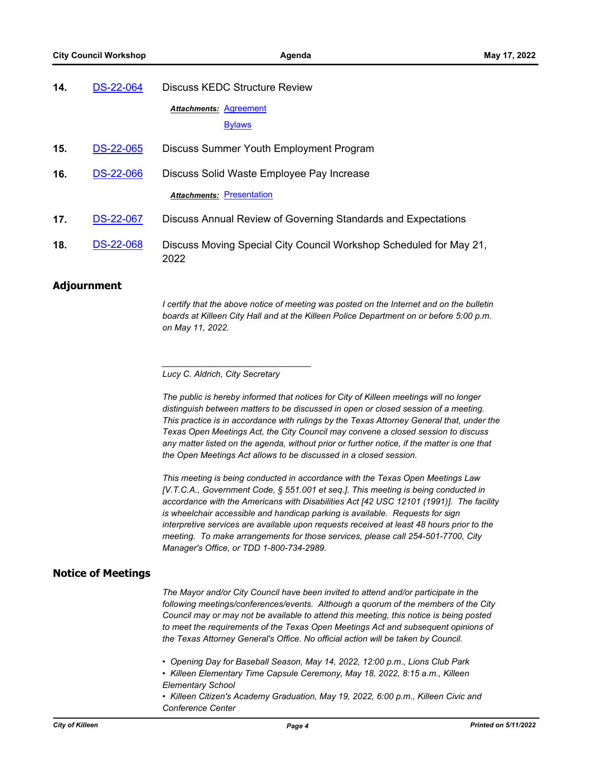| 14. | <b>DS-22-064</b> | Discuss KEDC Structure Review                                              |
|-----|------------------|----------------------------------------------------------------------------|
|     |                  | Attachments: Agreement<br><b>Bylaws</b>                                    |
| 15. | <b>DS-22-065</b> | Discuss Summer Youth Employment Program                                    |
| 16. | <b>DS-22-066</b> | Discuss Solid Waste Employee Pay Increase                                  |
|     |                  | <b>Attachments: Presentation</b>                                           |
| 17. | <b>DS-22-067</b> | Discuss Annual Review of Governing Standards and Expectations              |
| 18. | <b>DS-22-068</b> | Discuss Moving Special City Council Workshop Scheduled for May 21,<br>2022 |

### **Adjournment**

*I* certify that the above notice of meeting was posted on the Internet and on the bulletin *boards at Killeen City Hall and at the Killeen Police Department on or before 5:00 p.m. on May 11, 2022.*

*\_\_\_\_\_\_\_\_\_\_\_\_\_\_\_\_\_\_\_\_\_\_\_\_\_\_\_\_\_\_\_*

*The public is hereby informed that notices for City of Killeen meetings will no longer distinguish between matters to be discussed in open or closed session of a meeting. This practice is in accordance with rulings by the Texas Attorney General that, under the Texas Open Meetings Act, the City Council may convene a closed session to discuss*  any matter listed on the agenda, without prior or further notice, if the matter is one that *the Open Meetings Act allows to be discussed in a closed session.*

*This meeting is being conducted in accordance with the Texas Open Meetings Law [V.T.C.A., Government Code, § 551.001 et seq.]. This meeting is being conducted in accordance with the Americans with Disabilities Act [42 USC 12101 (1991)]. The facility is wheelchair accessible and handicap parking is available. Requests for sign interpretive services are available upon requests received at least 48 hours prior to the meeting. To make arrangements for those services, please call 254-501-7700, City Manager's Office, or TDD 1-800-734-2989.*

### **Notice of Meetings**

*The Mayor and/or City Council have been invited to attend and/or participate in the following meetings/conferences/events. Although a quorum of the members of the City Council may or may not be available to attend this meeting, this notice is being posted to meet the requirements of the Texas Open Meetings Act and subsequent opinions of the Texas Attorney General's Office. No official action will be taken by Council.*

*• Opening Day for Baseball Season, May 14, 2022, 12:00 p.m., Lions Club Park*

*• Killeen Elementary Time Capsule Ceremony, May 18, 2022, 8:15 a.m., Killeen Elementary School*

*• Killeen Citizen's Academy Graduation, May 19, 2022, 6:00 p.m., Killeen Civic and Conference Center*

*Lucy C. Aldrich, City Secretary*